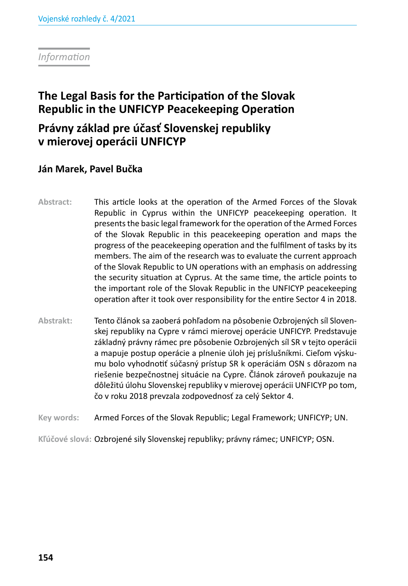*Information*

# **The Legal Basis for the Participation of the Slovak Republic in the UNFICYP Peacekeeping Operation**

# **Právny základ pre účasť Slovenskej republiky v mierovej operácii UNFICYP**

# **Ján Marek, Pavel Bučka**

- **Abstract:** This article looks at the operation of the Armed Forces of the Slovak Republic in Cyprus within the UNFICYP peacekeeping operation. It presents the basic legal framework for the operation of the Armed Forces of the Slovak Republic in this peacekeeping operation and maps the progress of the peacekeeping operation and the fulfilment of tasks by its members. The aim of the research was to evaluate the current approach of the Slovak Republic to UN operations with an emphasis on addressing the security situation at Cyprus. At the same time, the article points to the important role of the Slovak Republic in the UNFICYP peacekeeping operation after it took over responsibility for the entire Sector 4 in 2018.
- **Abstrakt:** Tento článok sa zaoberá pohľadom na pôsobenie Ozbrojených síl Slovenskej republiky na Cypre v rámci mierovej operácie UNFICYP. Predstavuje základný právny rámec pre pôsobenie Ozbrojených síl SR v tejto operácii a mapuje postup operácie a plnenie úloh jej príslušníkmi. Cieľom výskumu bolo vyhodnotiť súčasný prístup SR k operáciám OSN s dôrazom na riešenie bezpečnostnej situácie na Cypre. Článok zároveň poukazuje na dôležitú úlohu Slovenskej republiky v mierovej operácii UNFICYP po tom, čo v roku 2018 prevzala zodpovednosť za celý Sektor 4.

**Key words:** Armed Forces of the Slovak Republic; Legal Framework; UNFICYP; UN.

**Kľúčové slová:** Ozbrojené sily Slovenskej republiky; právny rámec; UNFICYP; OSN.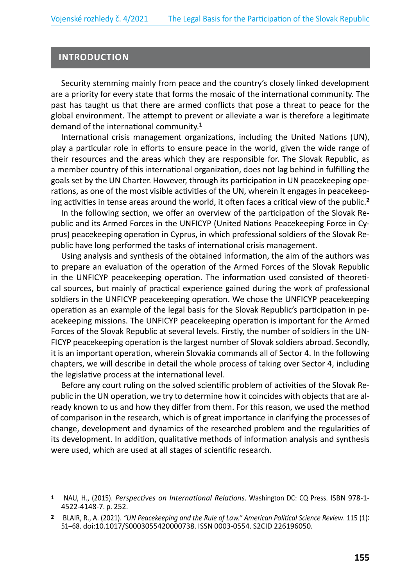#### **INTRODUCTION**

Security stemming mainly from peace and the country's closely linked development are a priority for every state that forms the mosaic of the international community. The past has taught us that there are armed conflicts that pose a threat to peace for the global environment. The attempt to prevent or alleviate a war is therefore a legitimate demand of the international community.**<sup>1</sup>**

International crisis management organizations, including the United Nations (UN), play a particular role in efforts to ensure peace in the world, given the wide range of their resources and the areas which they are responsible for. The Slovak Republic, as a member country of this international organization, does not lag behind in fulfilling the goals set by the UN Charter. However, through its participation in UN peacekeeping operations, as one of the most visible activities of the UN, wherein it engages in peacekeeping activities in tense areas around the world, it often faces a critical view of the public.**<sup>2</sup>**

In the following section, we offer an overview of the participation of the Slovak Republic and its Armed Forces in the UNFICYP (United Nations Peacekeeping Force in Cyprus) peacekeeping operation in Cyprus, in which professional soldiers of the Slovak Republic have long performed the tasks of international crisis management.

Using analysis and synthesis of the obtained information, the aim of the authors was to prepare an evaluation of the operation of the Armed Forces of the Slovak Republic in the UNFICYP peacekeeping operation. The information used consisted of theoretical sources, but mainly of practical experience gained during the work of professional soldiers in the UNFICYP peacekeeping operation. We chose the UNFICYP peacekeeping operation as an example of the legal basis for the Slovak Republic's participation in peacekeeping missions. The UNFICYP peacekeeping operation is important for the Armed Forces of the Slovak Republic at several levels. Firstly, the number of soldiers in the UN-FICYP peacekeeping operation is the largest number of Slovak soldiers abroad. Secondly, it is an important operation, wherein Slovakia commands all of Sector 4. In the following chapters, we will describe in detail the whole process of taking over Sector 4, including the legislative process at the international level.

Before any court ruling on the solved scientific problem of activities of the Slovak Republic in the UN operation, we try to determine how it coincides with objects that are already known to us and how they differ from them. For this reason, we used the method of comparison in the research, which is of great importance in clarifying the processes of change, development and dynamics of the researched problem and the regularities of its development. In addition, qualitative methods of information analysis and synthesis were used, which are used at all stages of scientific research.

**<sup>1</sup>** NAU, H., (2015). *Perspectives on International Relations*. Washington DC: CQ Press. ISBN 978-1- 4522-4148-7. p. 252.

**<sup>2</sup>** BLAIR, R., A. (2021). *"UN Peacekeeping and the Rule of Law." American Political Science Review*. 115 (1): 51–68. doi:10.1017/S0003055420000738. ISSN 0003-0554. S2CID 226196050.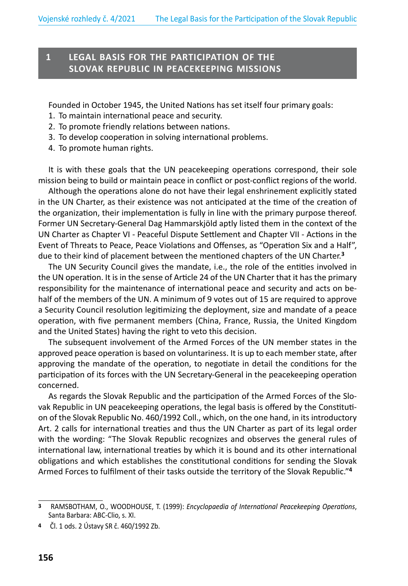# **1 LEGAL BASIS FOR THE PARTICIPATION OF THE SLOVAK REPUBLIC IN PEACEKEEPING MISSIONS**

Founded in October 1945, the United Nations has set itself four primary goals:

- 1. To maintain international peace and security.
- 2. To promote friendly relations between nations.
- 3. To develop cooperation in solving international problems.
- 4. To promote human rights.

It is with these goals that the UN peacekeeping operations correspond, their sole mission being to build or maintain peace in conflict or post-conflict regions of the world.

Although the operations alone do not have their legal enshrinement explicitly stated in the UN Charter, as their existence was not anticipated at the time of the creation of the organization, their implementation is fully in line with the primary purpose thereof. Former UN Secretary-General Dag Hammarskjöld aptly listed them in the context of the UN Charter as Chapter VI - Peaceful Dispute Settlement and Chapter VII - Actions in the Event of Threats to Peace, Peace Violations and Offenses, as "Operation Six and a Half", due to their kind of placement between the mentioned chapters of the UN Charter.**<sup>3</sup>**

The UN Security Council gives the mandate, i.e., the role of the entities involved in the UN operation. It is in the sense of Article 24 of the UN Charter that it has the primary responsibility for the maintenance of international peace and security and acts on behalf of the members of the UN. A minimum of 9 votes out of 15 are required to approve a Security Council resolution legitimizing the deployment, size and mandate of a peace operation, with five permanent members (China, France, Russia, the United Kingdom and the United States) having the right to veto this decision.

The subsequent involvement of the Armed Forces of the UN member states in the approved peace operation is based on voluntariness. It is up to each member state, after approving the mandate of the operation, to negotiate in detail the conditions for the participation of its forces with the UN Secretary-General in the peacekeeping operation concerned.

As regards the Slovak Republic and the participation of the Armed Forces of the Slovak Republic in UN peacekeeping operations, the legal basis is offered by the Constitution of the Slovak Republic No. 460/1992 Coll., which, on the one hand, in its introductory Art. 2 calls for international treaties and thus the UN Charter as part of its legal order with the wording: "The Slovak Republic recognizes and observes the general rules of international law, international treaties by which it is bound and its other international obligations and which establishes the constitutional conditions for sending the Slovak Armed Forces to fulfilment of their tasks outside the territory of the Slovak Republic."**<sup>4</sup>**

**<sup>3</sup>** RAMSBOTHAM, O., WOODHOUSE, T. (1999): *Encyclopaedia of International Peacekeeping Operations*, Santa Barbara: ABC-Clio, s. XI.

**<sup>4</sup>** Čl. 1 ods. 2 Ústavy SR č. 460/1992 Zb.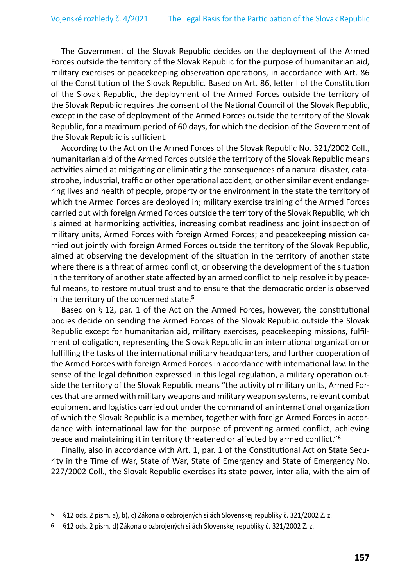The Government of the Slovak Republic decides on the deployment of the Armed Forces outside the territory of the Slovak Republic for the purpose of humanitarian aid, military exercises or peacekeeping observation operations, in accordance with Art. 86 of the Constitution of the Slovak Republic. Based on Art. 86, letter l of the Constitution of the Slovak Republic, the deployment of the Armed Forces outside the territory of the Slovak Republic requires the consent of the National Council of the Slovak Republic, except in the case of deployment of the Armed Forces outside the territory of the Slovak Republic, for a maximum period of 60 days, for which the decision of the Government of the Slovak Republic is sufficient.

According to the Act on the Armed Forces of the Slovak Republic No. 321/2002 Coll., humanitarian aid of the Armed Forces outside the territory of the Slovak Republic means activities aimed at mitigating or eliminating the consequences of a natural disaster, catastrophe, industrial, traffic or other operational accident, or other similar event endangering lives and health of people, property or the environment in the state the territory of which the Armed Forces are deployed in; military exercise training of the Armed Forces carried out with foreign Armed Forces outside the territory of the Slovak Republic, which is aimed at harmonizing activities, increasing combat readiness and joint inspection of military units, Armed Forces with foreign Armed Forces; and peacekeeping mission carried out jointly with foreign Armed Forces outside the territory of the Slovak Republic, aimed at observing the development of the situation in the territory of another state where there is a threat of armed conflict, or observing the development of the situation in the territory of another state affected by an armed conflict to help resolve it by peaceful means, to restore mutual trust and to ensure that the democratic order is observed in the territory of the concerned state.**<sup>5</sup>**

Based on § 12, par. 1 of the Act on the Armed Forces, however, the constitutional bodies decide on sending the Armed Forces of the Slovak Republic outside the Slovak Republic except for humanitarian aid, military exercises, peacekeeping missions, fulfilment of obligation, representing the Slovak Republic in an international organization or fulfilling the tasks of the international military headquarters, and further cooperation of the Armed Forces with foreign Armed Forces in accordance with international law. In the sense of the legal definition expressed in this legal regulation, a military operation outside the territory of the Slovak Republic means "the activity of military units, Armed Forces that are armed with military weapons and military weapon systems, relevant combat equipment and logistics carried out under the command of an international organization of which the Slovak Republic is a member, together with foreign Armed Forces in accordance with international law for the purpose of preventing armed conflict, achieving peace and maintaining it in territory threatened or affected by armed conflict."**<sup>6</sup>**

Finally, also in accordance with Art. 1, par. 1 of the Constitutional Act on State Security in the Time of War, State of War, State of Emergency and State of Emergency No. 227/2002 Coll., the Slovak Republic exercises its state power, inter alia, with the aim of

**<sup>5</sup>** §12 ods. 2 písm. a), b), c) Zákona o ozbrojených silách Slovenskej republiky č. 321/2002 Z. z.

**<sup>6</sup>** §12 ods. 2 písm. d) Zákona o ozbrojených silách Slovenskej republiky č. 321/2002 Z. z.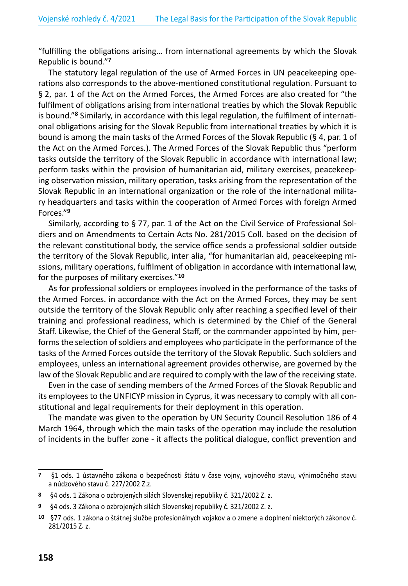"fulfilling the obligations arising… from international agreements by which the Slovak Republic is bound."**<sup>7</sup>**

The statutory legal regulation of the use of Armed Forces in UN peacekeeping operations also corresponds to the above-mentioned constitutional regulation. Pursuant to § 2, par. 1 of the Act on the Armed Forces, the Armed Forces are also created for "the fulfilment of obligations arising from international treaties by which the Slovak Republic is bound."**8** Similarly, in accordance with this legal regulation, the fulfilment of international obligations arising for the Slovak Republic from international treaties by which it is bound is among the main tasks of the Armed Forces of the Slovak Republic (§ 4, par. 1 of the Act on the Armed Forces.). The Armed Forces of the Slovak Republic thus "perform tasks outside the territory of the Slovak Republic in accordance with international law; perform tasks within the provision of humanitarian aid, military exercises, peacekeeping observation mission, military operation, tasks arising from the representation of the Slovak Republic in an international organization or the role of the international military headquarters and tasks within the cooperation of Armed Forces with foreign Armed Forces."**<sup>9</sup>**

Similarly, according to § 77, par. 1 of the Act on the Civil Service of Professional Soldiers and on Amendments to Certain Acts No. 281/2015 Coll. based on the decision of the relevant constitutional body, the service office sends a professional soldier outside the territory of the Slovak Republic, inter alia, "for humanitarian aid, peacekeeping missions, military operations, fulfilment of obligation in accordance with international law, for the purposes of military exercises."**<sup>10</sup>**

As for professional soldiers or employees involved in the performance of the tasks of the Armed Forces. in accordance with the Act on the Armed Forces, they may be sent outside the territory of the Slovak Republic only after reaching a specified level of their training and professional readiness, which is determined by the Chief of the General Staff. Likewise, the Chief of the General Staff, or the commander appointed by him, performs the selection of soldiers and employees who participate in the performance of the tasks of the Armed Forces outside the territory of the Slovak Republic. Such soldiers and employees, unless an international agreement provides otherwise, are governed by the law of the Slovak Republic and are required to comply with the law of the receiving state.

Even in the case of sending members of the Armed Forces of the Slovak Republic and its employees to the UNFICYP mission in Cyprus, it was necessary to comply with all constitutional and legal requirements for their deployment in this operation.

The mandate was given to the operation by UN Security Council Resolution 186 of 4 March 1964, through which the main tasks of the operation may include the resolution of incidents in the buffer zone - it affects the political dialogue, conflict prevention and

**<sup>7</sup>** §1 ods. 1 ústavného zákona o bezpečnosti štátu v čase vojny, vojnového stavu, výnimočného stavu a núdzového stavu č. 227/2002 Z.z.

**<sup>8</sup>** §4 ods. 1 Zákona o ozbrojených silách Slovenskej republiky č. 321/2002 Z. z.

**<sup>9</sup>** §4 ods. 3 Zákona o ozbrojených silách Slovenskej republiky č. 321/2002 Z. z.

**<sup>10</sup>** §77 ods. 1 zákona o štátnej službe profesionálnych vojakov a o zmene a doplnení niektorých zákonov č. 281/2015 Z. z.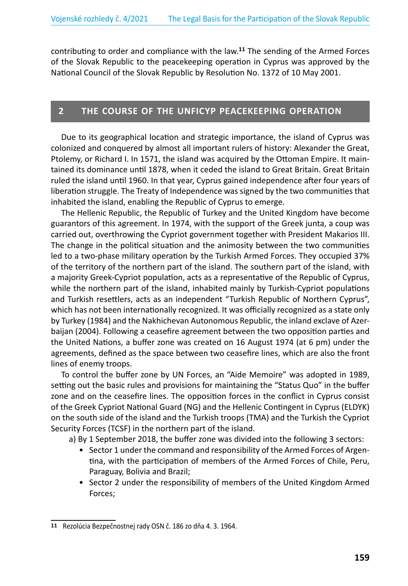contributing to order and compliance with the law.**<sup>11</sup>** The sending of the Armed Forces of the Slovak Republic to the peacekeeping operation in Cyprus was approved by the National Council of the Slovak Republic by Resolution No. 1372 of 10 May 2001.

## **2 THE COURSE OF THE UNFICYP PEACEKEEPING OPERATION**

Due to its geographical location and strategic importance, the island of Cyprus was colonized and conquered by almost all important rulers of history: Alexander the Great, Ptolemy, or Richard I. In 1571, the island was acquired by the Ottoman Empire. It maintained its dominance until 1878, when it ceded the island to Great Britain. Great Britain ruled the island until 1960. In that year, Cyprus gained independence after four years of liberation struggle. The Treaty of Independence was signed by the two communities that inhabited the island, enabling the Republic of Cyprus to emerge.

The Hellenic Republic, the Republic of Turkey and the United Kingdom have become guarantors of this agreement. In 1974, with the support of the Greek junta, a coup was carried out, overthrowing the Cypriot government together with President Makarios III. The change in the political situation and the animosity between the two communities led to a two-phase military operation by the Turkish Armed Forces. They occupied 37% of the territory of the northern part of the island. The southern part of the island, with a majority Greek-Cypriot population, acts as a representative of the Republic of Cyprus, while the northern part of the island, inhabited mainly by Turkish-Cypriot populations and Turkish resettlers, acts as an independent "Turkish Republic of Northern Cyprus", which has not been internationally recognized. It was officially recognized as a state only by Turkey (1984) and the Nakhichevan Autonomous Republic, the inland exclave of Azerbaijan (2004). Following a ceasefire agreement between the two opposition parties and the United Nations, a buffer zone was created on 16 August 1974 (at 6 pm) under the agreements, defined as the space between two ceasefire lines, which are also the front lines of enemy troops.

To control the buffer zone by UN Forces, an "Aide Memoire" was adopted in 1989, setting out the basic rules and provisions for maintaining the "Status Quo" in the buffer zone and on the ceasefire lines. The opposition forces in the conflict in Cyprus consist of the Greek Cypriot National Guard (NG) and the Hellenic Contingent in Cyprus (ELDYK) on the south side of the island and the Turkish troops (TMA) and the Turkish the Cypriot Security Forces (TCSF) in the northern part of the island.

a) By 1 September 2018, the buffer zone was divided into the following 3 sectors:

- Sector 1 under the command and responsibility of the Armed Forces of Argentina, with the participation of members of the Armed Forces of Chile, Peru, Paraguay, Bolivia and Brazil;
- Sector 2 under the responsibility of members of the United Kingdom Armed Forces;

**<sup>11</sup>** Rezolúcia Bezpečnostnej rady OSN č. 186 zo dňa 4. 3. 1964.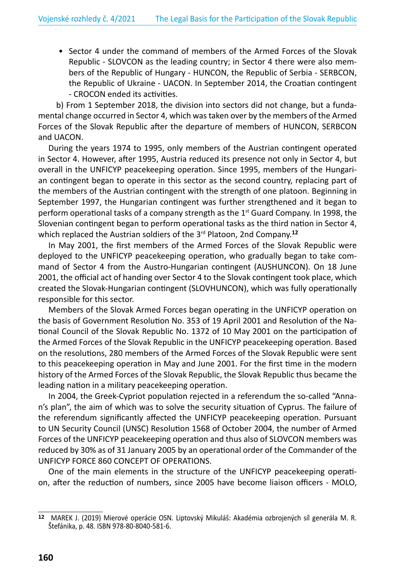• Sector 4 under the command of members of the Armed Forces of the Slovak Republic - SLOVCON as the leading country; in Sector 4 there were also members of the Republic of Hungary - HUNCON, the Republic of Serbia - SERBCON, the Republic of Ukraine - UACON. In September 2014, the Croatian contingent - CROCON ended its activities.

b) From 1 September 2018, the division into sectors did not change, but a fundamental change occurred in Sector 4, which was taken over by the members of the Armed Forces of the Slovak Republic after the departure of members of HUNCON, SERBCON and UACON.

During the years 1974 to 1995, only members of the Austrian contingent operated in Sector 4. However, after 1995, Austria reduced its presence not only in Sector 4, but overall in the UNFICYP peacekeeping operation. Since 1995, members of the Hungarian contingent began to operate in this sector as the second country, replacing part of the members of the Austrian contingent with the strength of one platoon. Beginning in September 1997, the Hungarian contingent was further strengthened and it began to perform operational tasks of a company strength as the  $1<sup>st</sup>$  Guard Company. In 1998, the Slovenian contingent began to perform operational tasks as the third nation in Sector 4, which replaced the Austrian soldiers of the 3<sup>rd</sup> Platoon, 2nd Company.<sup>12</sup>

In May 2001, the first members of the Armed Forces of the Slovak Republic were deployed to the UNFICYP peacekeeping operation, who gradually began to take command of Sector 4 from the Austro-Hungarian contingent (AUSHUNCON). On 18 June 2001, the official act of handing over Sector 4 to the Slovak contingent took place, which created the Slovak-Hungarian contingent (SLOVHUNCON), which was fully operationally responsible for this sector.

Members of the Slovak Armed Forces began operating in the UNFICYP operation on the basis of Government Resolution No. 353 of 19 April 2001 and Resolution of the National Council of the Slovak Republic No. 1372 of 10 May 2001 on the participation of the Armed Forces of the Slovak Republic in the UNFICYP peacekeeping operation. Based on the resolutions, 280 members of the Armed Forces of the Slovak Republic were sent to this peacekeeping operation in May and June 2001. For the first time in the modern history of the Armed Forces of the Slovak Republic, the Slovak Republic thus became the leading nation in a military peacekeeping operation.

In 2004, the Greek-Cypriot population rejected in a referendum the so-called "Annan's plan", the aim of which was to solve the security situation of Cyprus. The failure of the referendum significantly affected the UNFICYP peacekeeping operation. Pursuant to UN Security Council (UNSC) Resolution 1568 of October 2004, the number of Armed Forces of the UNFICYP peacekeeping operation and thus also of SLOVCON members was reduced by 30% as of 31 January 2005 by an operational order of the Commander of the UNFICYP FORCE 860 CONCEPT OF OPERATIONS.

One of the main elements in the structure of the UNFICYP peacekeeping operation, after the reduction of numbers, since 2005 have become liaison officers - MOLO,

**<sup>12</sup>** MAREK J. (2019) Mierové operácie OSN. Liptovský Mikuláš: Akadémia ozbrojených síl generála M. R. Štefánika, p. 48. ISBN 978-80-8040-581-6.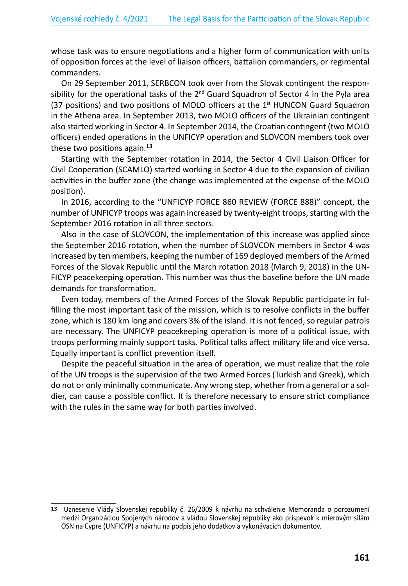whose task was to ensure negotiations and a higher form of communication with units of opposition forces at the level of liaison officers, battalion commanders, or regimental commanders.

On 29 September 2011, SERBCON took over from the Slovak contingent the responsibility for the operational tasks of the  $2^{nd}$  Guard Squadron of Sector 4 in the Pyla area (37 positions) and two positions of MOLO officers at the  $1<sup>st</sup>$  HUNCON Guard Squadron in the Athena area. In September 2013, two MOLO officers of the Ukrainian contingent also started working in Sector 4. In September 2014, the Croatian contingent (two MOLO officers) ended operations in the UNFICYP operation and SLOVCON members took over these two positions again.**<sup>13</sup>**

Starting with the September rotation in 2014, the Sector 4 Civil Liaison Officer for Civil Cooperation (SCAMLO) started working in Sector 4 due to the expansion of civilian activities in the buffer zone (the change was implemented at the expense of the MOLO position).

In 2016, according to the "UNFICYP FORCE 860 REVIEW (FORCE 888)" concept, the number of UNFICYP troops was again increased by twenty-eight troops, starting with the September 2016 rotation in all three sectors.

Also in the case of SLOVCON, the implementation of this increase was applied since the September 2016 rotation, when the number of SLOVCON members in Sector 4 was increased by ten members, keeping the number of 169 deployed members of the Armed Forces of the Slovak Republic until the March rotation 2018 (March 9, 2018) in the UN-FICYP peacekeeping operation. This number was thus the baseline before the UN made demands for transformation.

Even today, members of the Armed Forces of the Slovak Republic participate in fulfilling the most important task of the mission, which is to resolve conflicts in the buffer zone, which is 180 km long and covers 3% of the island. It is not fenced, so regular patrols are necessary. The UNFICYP peacekeeping operation is more of a political issue, with troops performing mainly support tasks. Political talks affect military life and vice versa. Equally important is conflict prevention itself.

Despite the peaceful situation in the area of operation, we must realize that the role of the UN troops is the supervision of the two Armed Forces (Turkish and Greek), which do not or only minimally communicate. Any wrong step, whether from a general or a soldier, can cause a possible conflict. It is therefore necessary to ensure strict compliance with the rules in the same way for both parties involved.

**<sup>13</sup>** Uznesenie Vlády Slovenskej republiky č. 26/2009 k návrhu na schválenie Memoranda o porozumení medzi Organizáciou Spojených národov a vládou Slovenskej republiky ako príspevok k mierovým silám OSN na Cypre (UNFICYP) a návrhu na podpis jeho dodatkov a vykonávacích dokumentov.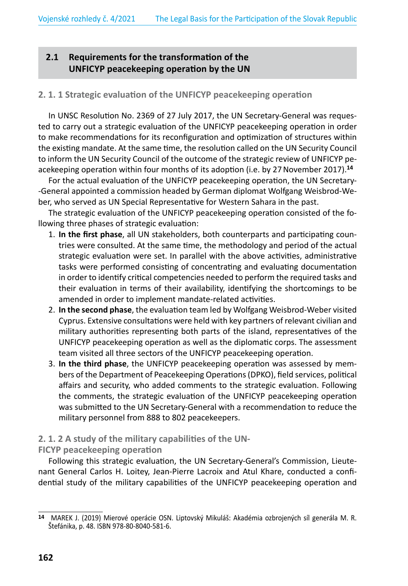# **2.1 Requirements for the transformation of the UNFICYP peacekeeping operation by the UN**

#### **2. 1. 1 Strategic evaluation of the UNFICYP peacekeeping operation**

In UNSC Resolution No. 2369 of 27 July 2017, the UN Secretary-General was requested to carry out a strategic evaluation of the UNFICYP peacekeeping operation in order to make recommendations for its reconfiguration and optimization of structures within the existing mandate. At the same time, the resolution called on the UN Security Council to inform the UN Security Council of the outcome of the strategic review of UNFICYP peacekeeping operation within four months of its adoption (i.e. by 27November 2017).**<sup>14</sup>**

For the actual evaluation of the UNFICYP peacekeeping operation, the UN Secretary- -General appointed a commission headed by German diplomat Wolfgang Weisbrod-Weber, who served as UN Special Representative for Western Sahara in the past.

The strategic evaluation of the UNFICYP peacekeeping operation consisted of the following three phases of strategic evaluation:

- 1. **In the first phase**, all UN stakeholders, both counterparts and participating countries were consulted. At the same time, the methodology and period of the actual strategic evaluation were set. In parallel with the above activities, administrative tasks were performed consisting of concentrating and evaluating documentation in order to identify critical competencies needed to perform the required tasks and their evaluation in terms of their availability, identifying the shortcomings to be amended in order to implement mandate-related activities.
- 2. **In the second phase**, the evaluation team led by Wolfgang Weisbrod-Weber visited Cyprus. Extensive consultations were held with key partners of relevant civilian and military authorities representing both parts of the island, representatives of the UNFICYP peacekeeping operation as well as the diplomatic corps. The assessment team visited all three sectors of the UNFICYP peacekeeping operation.
- 3. **In the third phase**, the UNFICYP peacekeeping operation was assessed by members of the Department of Peacekeeping Operations (DPKO), field services, political affairs and security, who added comments to the strategic evaluation. Following the comments, the strategic evaluation of the UNFICYP peacekeeping operation was submitted to the UN Secretary-General with a recommendation to reduce the military personnel from 888 to 802 peacekeepers.

### **2. 1. 2 A study of the military capabilities of the UN-**

#### **FICYP peacekeeping operation**

Following this strategic evaluation, the UN Secretary-General's Commission, Lieutenant General Carlos H. Loitey, Jean-Pierre Lacroix and Atul Khare, conducted a confidential study of the military capabilities of the UNFICYP peacekeeping operation and

**<sup>14</sup>** MAREK J. (2019) Mierové operácie OSN. Liptovský Mikuláš: Akadémia ozbrojených síl generála M. R. Štefánika, p. 48. ISBN 978-80-8040-581-6.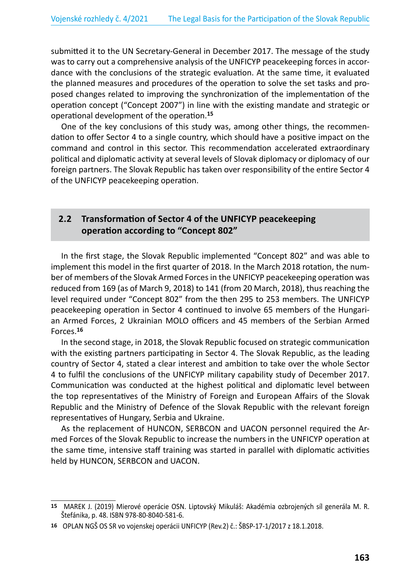submitted it to the UN Secretary-General in December 2017. The message of the study was to carry out a comprehensive analysis of the UNFICYP peacekeeping forces in accordance with the conclusions of the strategic evaluation. At the same time, it evaluated the planned measures and procedures of the operation to solve the set tasks and proposed changes related to improving the synchronization of the implementation of the operation concept ("Concept 2007") in line with the existing mandate and strategic or operational development of the operation.**<sup>15</sup>**

One of the key conclusions of this study was, among other things, the recommendation to offer Sector 4 to a single country, which should have a positive impact on the command and control in this sector. This recommendation accelerated extraordinary political and diplomatic activity at several levels of Slovak diplomacy or diplomacy of our foreign partners. The Slovak Republic has taken over responsibility of the entire Sector 4 of the UNFICYP peacekeeping operation.

### **2.2 Transformation of Sector 4 of the UNFICYP peacekeeping operation according to "Concept 802"**

In the first stage, the Slovak Republic implemented "Concept 802" and was able to implement this model in the first quarter of 2018. In the March 2018 rotation, the number of members of the Slovak Armed Forces in the UNFICYP peacekeeping operation was reduced from 169 (as of March 9, 2018) to 141 (from 20 March, 2018), thus reaching the level required under "Concept 802" from the then 295 to 253 members. The UNFICYP peacekeeping operation in Sector 4 continued to involve 65 members of the Hungarian Armed Forces, 2 Ukrainian MOLO officers and 45 members of the Serbian Armed Forces.**<sup>16</sup>**

In the second stage, in 2018, the Slovak Republic focused on strategic communication with the existing partners participating in Sector 4. The Slovak Republic, as the leading country of Sector 4, stated a clear interest and ambition to take over the whole Sector 4 to fulfil the conclusions of the UNFICYP military capability study of December 2017. Communication was conducted at the highest political and diplomatic level between the top representatives of the Ministry of Foreign and European Affairs of the Slovak Republic and the Ministry of Defence of the Slovak Republic with the relevant foreign representatives of Hungary, Serbia and Ukraine.

As the replacement of HUNCON, SERBCON and UACON personnel required the Armed Forces of the Slovak Republic to increase the numbers in the UNFICYP operation at the same time, intensive staff training was started in parallel with diplomatic activities held by HUNCON, SERBCON and UACON.

**<sup>15</sup>** MAREK J. (2019) Mierové operácie OSN. Liptovský Mikuláš: Akadémia ozbrojených síl generála M. R. Štefánika, p. 48. ISBN 978-80-8040-581-6.

**<sup>16</sup>** OPLAN NGŠ OS SR vo vojenskej operácii UNFICYP (Rev.2) č.: ŠBSP-17-1/2017 z 18.1.2018.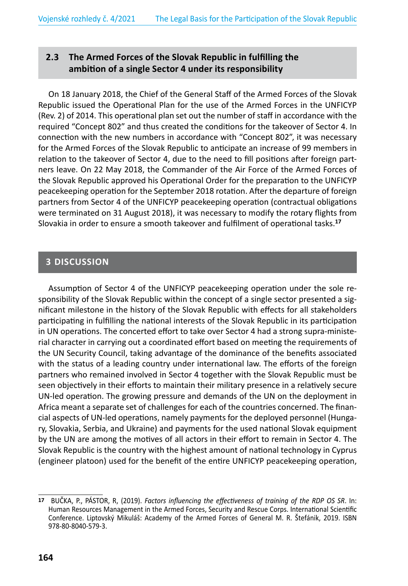# **2.3 The Armed Forces of the Slovak Republic in fulfilling the ambition of a single Sector 4 under its responsibility**

On 18 January 2018, the Chief of the General Staff of the Armed Forces of the Slovak Republic issued the Operational Plan for the use of the Armed Forces in the UNFICYP (Rev. 2) of 2014. This operational plan set out the number of staff in accordance with the required "Concept 802" and thus created the conditions for the takeover of Sector 4. In connection with the new numbers in accordance with "Concept 802", it was necessary for the Armed Forces of the Slovak Republic to anticipate an increase of 99 members in relation to the takeover of Sector 4, due to the need to fill positions after foreign partners leave. On 22 May 2018, the Commander of the Air Force of the Armed Forces of the Slovak Republic approved his Operational Order for the preparation to the UNFICYP peacekeeping operation for the September 2018 rotation. After the departure of foreign partners from Sector 4 of the UNFICYP peacekeeping operation (contractual obligations were terminated on 31 August 2018), it was necessary to modify the rotary flights from Slovakia in order to ensure a smooth takeover and fulfilment of operational tasks.**<sup>17</sup>**

### **3 DISCUSSION**

Assumption of Sector 4 of the UNFICYP peacekeeping operation under the sole responsibility of the Slovak Republic within the concept of a single sector presented a significant milestone in the history of the Slovak Republic with effects for all stakeholders participating in fulfilling the national interests of the Slovak Republic in its participation in UN operations. The concerted effort to take over Sector 4 had a strong supra-ministerial character in carrying out a coordinated effort based on meeting the requirements of the UN Security Council, taking advantage of the dominance of the benefits associated with the status of a leading country under international law. The efforts of the foreign partners who remained involved in Sector 4 together with the Slovak Republic must be seen objectively in their efforts to maintain their military presence in a relatively secure UN-led operation. The growing pressure and demands of the UN on the deployment in Africa meant a separate set of challenges for each of the countries concerned. The financial aspects of UN-led operations, namely payments for the deployed personnel (Hungary, Slovakia, Serbia, and Ukraine) and payments for the used national Slovak equipment by the UN are among the motives of all actors in their effort to remain in Sector 4. The Slovak Republic is the country with the highest amount of national technology in Cyprus (engineer platoon) used for the benefit of the entire UNFICYP peacekeeping operation,

**<sup>17</sup>** BUČKA, P., PÁSTOR, R, (2019). *Factors influencing the effectiveness of training of the RDP OS SR*. In: Human Resources Management in the Armed Forces, Security and Rescue Corps. International Scientific Conference. Liptovský Mikuláš: Academy of the Armed Forces of General M. R. Štefánik, 2019. ISBN 978-80-8040-579-3.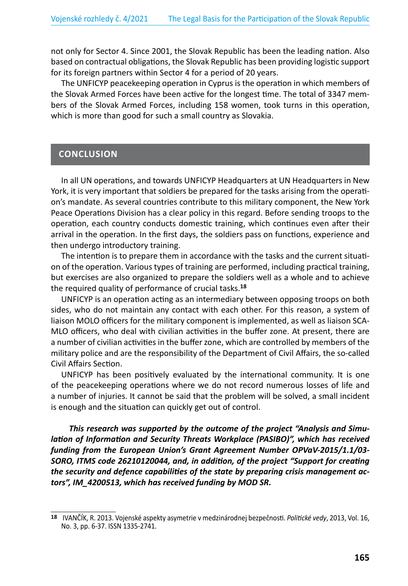not only for Sector 4. Since 2001, the Slovak Republic has been the leading nation. Also based on contractual obligations, the Slovak Republic has been providing logistic support for its foreign partners within Sector 4 for a period of 20 years.

The UNFICYP peacekeeping operation in Cyprus is the operation in which members of the Slovak Armed Forces have been active for the longest time. The total of 3347 members of the Slovak Armed Forces, including 158 women, took turns in this operation, which is more than good for such a small country as Slovakia.

### **CONCLUSION**

In all UN operations, and towards UNFICYP Headquarters at UN Headquarters in New York, it is very important that soldiers be prepared for the tasks arising from the operation's mandate. As several countries contribute to this military component, the New York Peace Operations Division has a clear policy in this regard. Before sending troops to the operation, each country conducts domestic training, which continues even after their arrival in the operation. In the first days, the soldiers pass on functions, experience and then undergo introductory training.

The intention is to prepare them in accordance with the tasks and the current situation of the operation. Various types of training are performed, including practical training, but exercises are also organized to prepare the soldiers well as a whole and to achieve the required quality of performance of crucial tasks.**<sup>18</sup>**

UNFICYP is an operation acting as an intermediary between opposing troops on both sides, who do not maintain any contact with each other. For this reason, a system of liaison MOLO officers for the military component is implemented, as well as liaison SCA-MLO officers, who deal with civilian activities in the buffer zone. At present, there are a number of civilian activities in the buffer zone, which are controlled by members of the military police and are the responsibility of the Department of Civil Affairs, the so-called Civil Affairs Section.

UNFICYP has been positively evaluated by the international community. It is one of the peacekeeping operations where we do not record numerous losses of life and a number of injuries. It cannot be said that the problem will be solved, a small incident is enough and the situation can quickly get out of control.

*This research was supported by the outcome of the project "Analysis and Simulation of Information and Security Threats Workplace (PASIBO)", which has received funding from the European Union's Grant Agreement Number OPVaV-2015/1.1/03- SORO, ITMS code 26210120044, and, in addition, of the project "Support for creating the security and defence capabilities of the state by preparing crisis management actors", IM\_4200513, which has received funding by MOD SR.*

**<sup>18</sup>** IVANČÍK, R. 2013. Vojenské aspekty asymetrie v medzinárodnej bezpečnosti. *Politické vedy*, 2013, Vol. 16, No. 3, pp. 6-37. ISSN 1335-2741.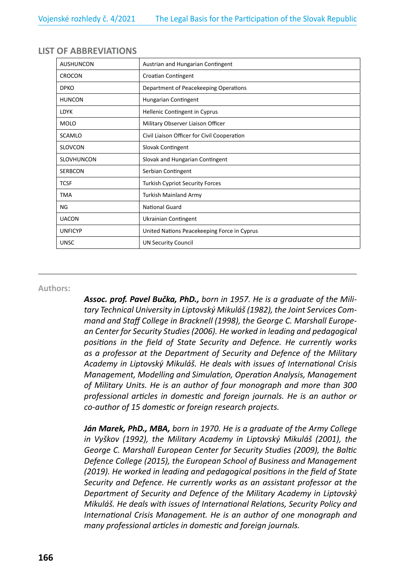| <b>AUSHUNCON</b>  | Austrian and Hungarian Contingent           |
|-------------------|---------------------------------------------|
| <b>CROCON</b>     | Croatian Contingent                         |
| <b>DPKO</b>       | Department of Peacekeeping Operations       |
| <b>HUNCON</b>     | Hungarian Contingent                        |
| <b>LDYK</b>       | Hellenic Contingent in Cyprus               |
| <b>MOLO</b>       | Military Observer Liaison Officer           |
| <b>SCAMLO</b>     | Civil Liaison Officer for Civil Cooperation |
| <b>SLOVCON</b>    | Slovak Contingent                           |
| <b>SLOVHUNCON</b> | Slovak and Hungarian Contingent             |
| <b>SERBCON</b>    | Serbian Contingent                          |
| <b>TCSF</b>       | <b>Turkish Cypriot Security Forces</b>      |
| <b>TMA</b>        | <b>Turkish Mainland Army</b>                |
| NG                | <b>National Guard</b>                       |
| <b>UACON</b>      | Ukrainian Contingent                        |
| <b>UNFICYP</b>    | United Nations Peacekeeping Force in Cyprus |
| <b>UNSC</b>       | <b>UN Security Council</b>                  |

#### **LIST OF ABBREVIATIONS**

#### **Authors:**

*Assoc. prof. Pavel Bučka, PhD., born in 1957. He is a graduate of the Military Technical University in Liptovský Mikuláš (1982), the Joint Services Command and Staff College in Bracknell (1998), the George C. Marshall European Center for Security Studies (2006). He worked in leading and pedagogical positions in the field of State Security and Defence. He currently works as a professor at the Department of Security and Defence of the Military Academy in Liptovský Mikuláš. He deals with issues of International Crisis Management, Modelling and Simulation, Operation Analysis, Management of Military Units. He is an author of four monograph and more than 300 professional articles in domestic and foreign journals. He is an author or co-author of 15 domestic or foreign research projects.*

*Ján Marek, PhD., MBA, born in 1970. He is a graduate of the Army College in Vyškov (1992), the Military Academy in Liptovský Mikuláš (2001), the George C. Marshall European Center for Security Studies (2009), the Baltic Defence College (2015), the European School of Business and Management (2019). He worked in leading and pedagogical positions in the field of State Security and Defence. He currently works as an assistant professor at the Department of Security and Defence of the Military Academy in Liptovský Mikuláš. He deals with issues of International Relations, Security Policy and International Crisis Management. He is an author of one monograph and many professional articles in domestic and foreign journals.*